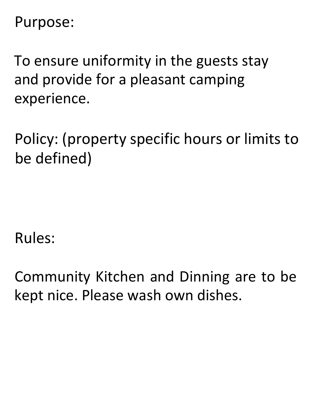## Purpose:

To ensure uniformity in the guests stay and provide for a pleasant camping experience.

Policy: (property specific hours or limits to be defined)

Rules:

Community Kitchen and Dinning are to be kept nice. Please wash own dishes.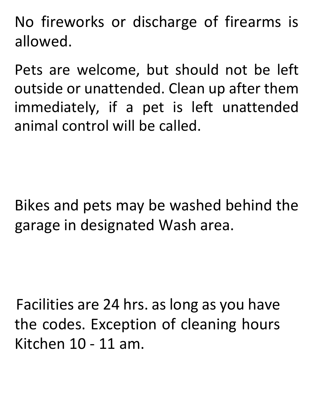No fireworks or discharge of firearms is allowed.

Pets are welcome, but should not be left outside or unattended. Clean up after them immediately, if a pet is left unattended animal control will be called.

Bikes and pets may be washed behind the garage in designated Wash area.

Facilities are 24 hrs. as long as you have the codes. Exception of cleaning hours Kitchen 10 - 11 am.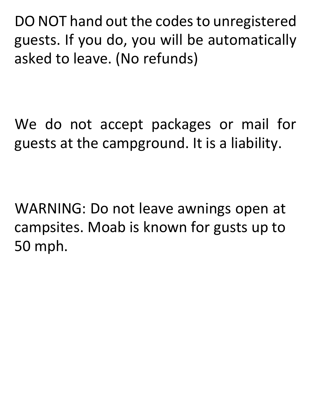DO NOT hand out the codes to unregistered guests. If you do, you will be automatically asked to leave. (No refunds)

We do not accept packages or mail for guests at the campground. It is a liability.

WARNING: Do not leave awnings open at campsites. Moab is known for gusts up to 50 mph.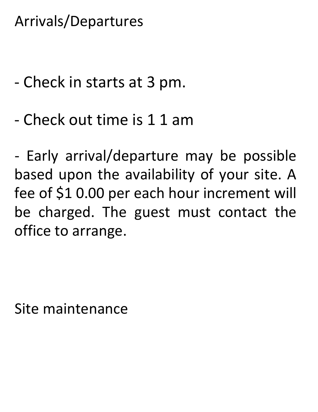Arrivals/Departures

- Check in starts at 3 pm.
- Check out time is 1 1 am

- Early arrival/departure may be possible based upon the availability of your site. A fee of \$1 0.00 per each hour increment will be charged. The guest must contact the office to arrange.

Site maintenance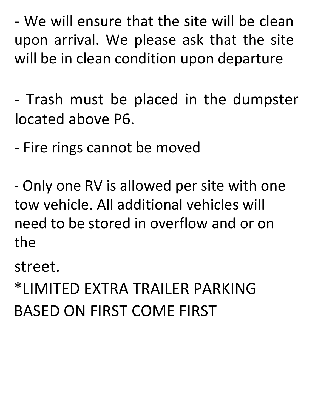- We will ensure that the site will be clean upon arrival. We please ask that the site will be in clean condition upon departure

- Trash must be placed in the dumpster located above P6.

- Fire rings cannot be moved

- Only one RV is allowed per site with one tow vehicle. All additional vehicles will need to be stored in overflow and or on the

street.

\*LIMITED EXTRA TRAILER PARKING BASED ON FIRST COME FIRST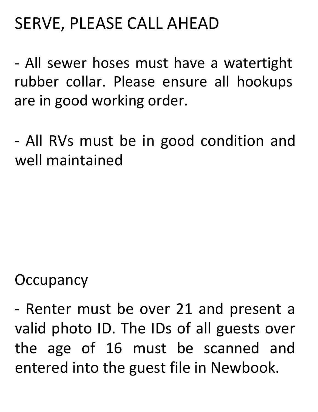## SERVE, PLEASE CALL AHEAD

- All sewer hoses must have a watertight rubber collar. Please ensure all hookups are in good working order.

- All RVs must be in good condition and well maintained

## **Occupancy**

- Renter must be over 21 and present a valid photo ID. The IDs of all guests over the age of 16 must be scanned and entered into the guest file in Newbook.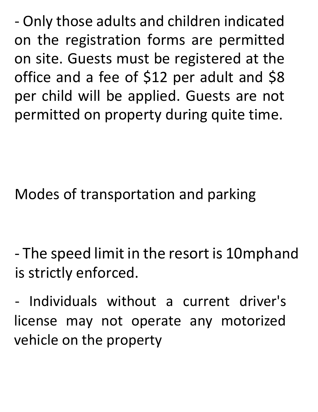- Only those adults and children indicated on the registration forms are permitted on site. Guests must be registered at the office and a fee of \$12 per adult and \$8 per child will be applied. Guests are not permitted on property during quite time.

Modes of transportation and parking

- The speed limit in the resort is 10mphand is strictly enforced.

- Individuals without a current driver's license may not operate any motorized vehicle on the property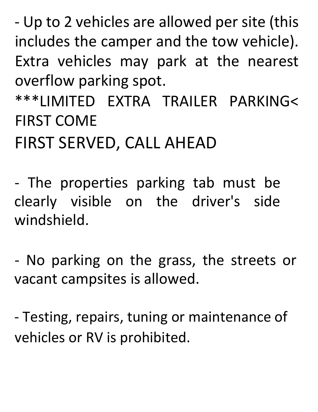- Up to 2 vehicles are allowed per site (this includes the camper and the tow vehicle). Extra vehicles may park at the nearest overflow parking spot.

\*\*\*LIMITED EXTRA TRAILER PARKING< FIRST COME

FIRST SERVED, CALL AHEAD

- The properties parking tab must be clearly visible on the driver's side windshield.

- No parking on the grass, the streets or vacant campsites is allowed.

- Testing, repairs, tuning or maintenance of vehicles or RV is prohibited.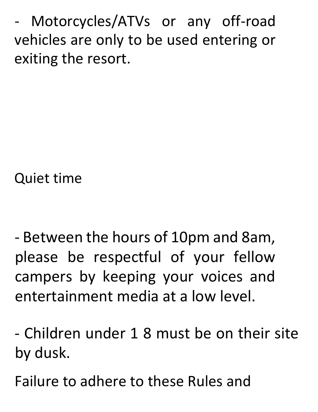Motorcycles/ATVs or any off-road vehicles are only to be used entering or exiting the resort.

Quiet time

- Between the hours of 10pm and 8am, please be respectful of your fellow campers by keeping your voices and entertainment media at a low level.

- Children under 1 8 must be on their site by dusk.

Failure to adhere to these Rules and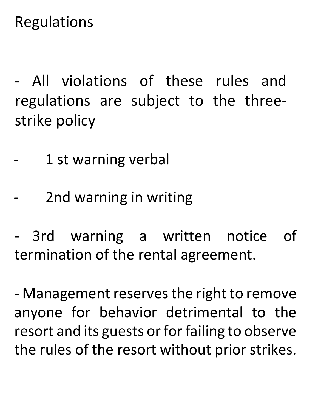Regulations

- All violations of these rules and regulations are subject to the threestrike policy

- 1 st warning verbal
	- 2nd warning in writing

3rd warning a written notice of termination of the rental agreement.

- Management reserves the right to remove anyone for behavior detrimental to the resort and its guests or for failing to observe the rules of the resort without prior strikes.